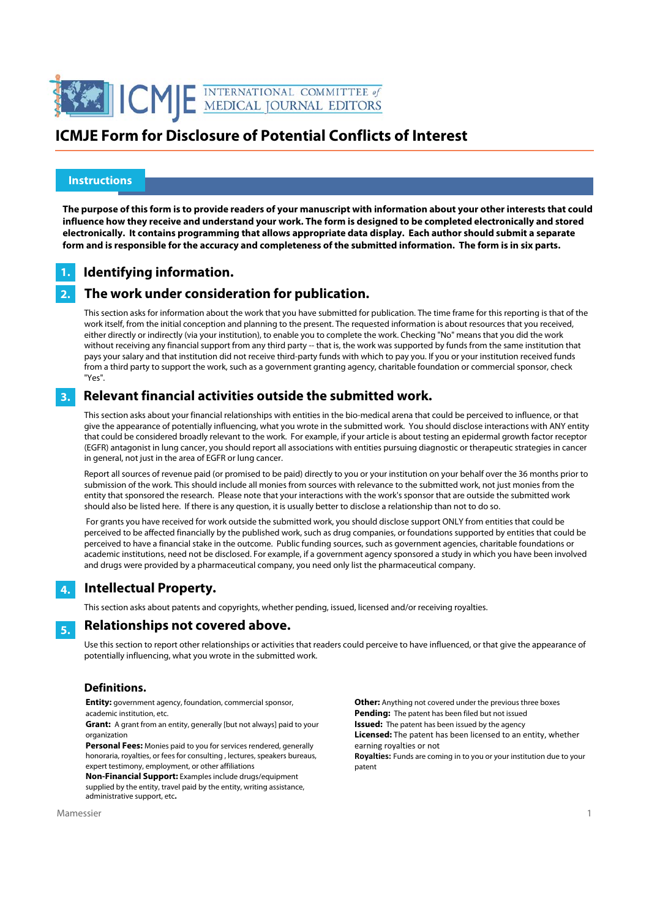

#### **Instructions**

**2.**

**The purpose of this form is to provide readers of your manuscript with information about your other interests that could influence how they receive and understand your work. The form is designed to be completed electronically and stored electronically. It contains programming that allows appropriate data display. Each author should submit a separate form and is responsible for the accuracy and completeness of the submitted information. The form is in six parts.** 

#### **Identifying information. 1.**

### **The work under consideration for publication.**

This section asks for information about the work that you have submitted for publication. The time frame for this reporting is that of the work itself, from the initial conception and planning to the present. The requested information is about resources that you received, either directly or indirectly (via your institution), to enable you to complete the work. Checking "No" means that you did the work without receiving any financial support from any third party -- that is, the work was supported by funds from the same institution that pays your salary and that institution did not receive third-party funds with which to pay you. If you or your institution received funds from a third party to support the work, such as a government granting agency, charitable foundation or commercial sponsor, check "Yes".

#### **Relevant financial activities outside the submitted work. 3.**

This section asks about your financial relationships with entities in the bio-medical arena that could be perceived to influence, or that give the appearance of potentially influencing, what you wrote in the submitted work. You should disclose interactions with ANY entity that could be considered broadly relevant to the work. For example, if your article is about testing an epidermal growth factor receptor (EGFR) antagonist in lung cancer, you should report all associations with entities pursuing diagnostic or therapeutic strategies in cancer in general, not just in the area of EGFR or lung cancer.

Report all sources of revenue paid (or promised to be paid) directly to you or your institution on your behalf over the 36 months prior to submission of the work. This should include all monies from sources with relevance to the submitted work, not just monies from the entity that sponsored the research. Please note that your interactions with the work's sponsor that are outside the submitted work should also be listed here. If there is any question, it is usually better to disclose a relationship than not to do so.

 For grants you have received for work outside the submitted work, you should disclose support ONLY from entities that could be perceived to be affected financially by the published work, such as drug companies, or foundations supported by entities that could be perceived to have a financial stake in the outcome. Public funding sources, such as government agencies, charitable foundations or academic institutions, need not be disclosed. For example, if a government agency sponsored a study in which you have been involved and drugs were provided by a pharmaceutical company, you need only list the pharmaceutical company.

### **Intellectual Property.**

This section asks about patents and copyrights, whether pending, issued, licensed and/or receiving royalties.

### **Relationships not covered above.**

Use this section to report other relationships or activities that readers could perceive to have influenced, or that give the appearance of potentially influencing, what you wrote in the submitted work.

### **Definitions.**

**Entity:** government agency, foundation, commercial sponsor, academic institution, etc.

**Grant:** A grant from an entity, generally [but not always] paid to your organization

**Personal Fees:** Monies paid to you for services rendered, generally honoraria, royalties, or fees for consulting , lectures, speakers bureaus, expert testimony, employment, or other affiliations

**Non-Financial Support:** Examples include drugs/equipment supplied by the entity, travel paid by the entity, writing assistance, administrative support, etc**.**

**Other:** Anything not covered under the previous three boxes **Pending:** The patent has been filed but not issued **Issued:** The patent has been issued by the agency **Licensed:** The patent has been licensed to an entity, whether earning royalties or not **Royalties:** Funds are coming in to you or your institution due to your patent

Mamessier 1

**4.**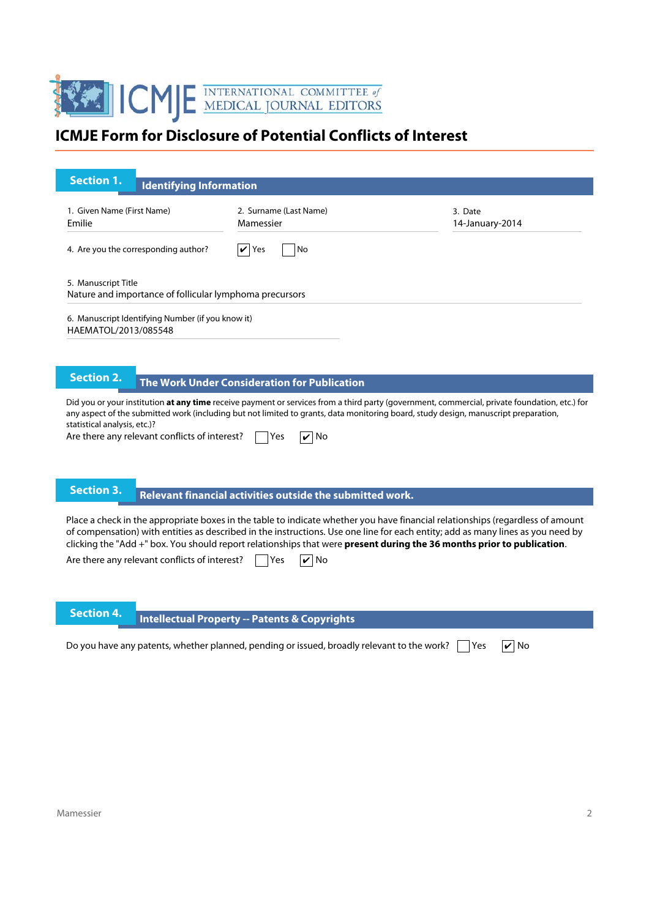

| <b>Section 1.</b>                                                                                                                                                                                                                                                                                                                                                                                                                                                | <b>Identifying Information</b>                                            |                                     |                                                           |                            |  |
|------------------------------------------------------------------------------------------------------------------------------------------------------------------------------------------------------------------------------------------------------------------------------------------------------------------------------------------------------------------------------------------------------------------------------------------------------------------|---------------------------------------------------------------------------|-------------------------------------|-----------------------------------------------------------|----------------------------|--|
| 1. Given Name (First Name)<br>Emilie                                                                                                                                                                                                                                                                                                                                                                                                                             |                                                                           | 2. Surname (Last Name)<br>Mamessier |                                                           | 3. Date<br>14-January-2014 |  |
| 4. Are you the corresponding author?                                                                                                                                                                                                                                                                                                                                                                                                                             |                                                                           | $V$ Yes                             | No                                                        |                            |  |
| 5. Manuscript Title<br>Nature and importance of follicular lymphoma precursors                                                                                                                                                                                                                                                                                                                                                                                   |                                                                           |                                     |                                                           |                            |  |
|                                                                                                                                                                                                                                                                                                                                                                                                                                                                  | 6. Manuscript Identifying Number (if you know it)<br>HAEMATOL/2013/085548 |                                     |                                                           |                            |  |
|                                                                                                                                                                                                                                                                                                                                                                                                                                                                  |                                                                           |                                     |                                                           |                            |  |
| <b>Section 2.</b>                                                                                                                                                                                                                                                                                                                                                                                                                                                | The Work Under Consideration for Publication                              |                                     |                                                           |                            |  |
| Did you or your institution at any time receive payment or services from a third party (government, commercial, private foundation, etc.) for<br>any aspect of the submitted work (including but not limited to grants, data monitoring board, study design, manuscript preparation,<br>statistical analysis, etc.)?                                                                                                                                             |                                                                           |                                     |                                                           |                            |  |
| Are there any relevant conflicts of interest?<br>$\mathbf{v}$ No<br>Yes                                                                                                                                                                                                                                                                                                                                                                                          |                                                                           |                                     |                                                           |                            |  |
| <b>Section 3.</b>                                                                                                                                                                                                                                                                                                                                                                                                                                                |                                                                           |                                     | Relevant financial activities outside the submitted work. |                            |  |
| Place a check in the appropriate boxes in the table to indicate whether you have financial relationships (regardless of amount<br>of compensation) with entities as described in the instructions. Use one line for each entity; add as many lines as you need by<br>clicking the "Add +" box. You should report relationships that were present during the 36 months prior to publication.<br>Are there any relevant conflicts of interest?<br>  No<br>Yes<br>V |                                                                           |                                     |                                                           |                            |  |
| <b>Section 4.</b>                                                                                                                                                                                                                                                                                                                                                                                                                                                | <b>Intellectual Property -- Patents &amp; Copyrights</b>                  |                                     |                                                           |                            |  |
| Do you have any patents, whether planned, pending or issued, broadly relevant to the work?<br>$\mathbf{v}$ No<br>Yes                                                                                                                                                                                                                                                                                                                                             |                                                                           |                                     |                                                           |                            |  |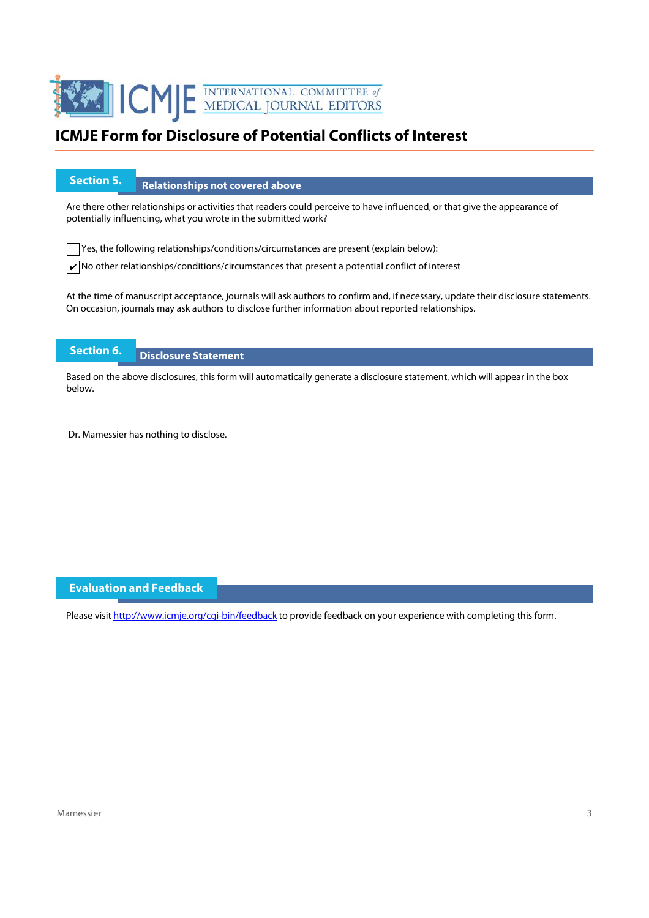

### **Section 5.** Relationships not covered above

Are there other relationships or activities that readers could perceive to have influenced, or that give the appearance of potentially influencing, what you wrote in the submitted work?

 $\Box$  Yes, the following relationships/conditions/circumstances are present (explain below):

 $\boxed{\mathbf{v}}$  No other relationships/conditions/circumstances that present a potential conflict of interest

At the time of manuscript acceptance, journals will ask authors to confirm and, if necessary, update their disclosure statements. On occasion, journals may ask authors to disclose further information about reported relationships.

## **Disclosure Statement Section 6.**

Based on the above disclosures, this form will automatically generate a disclosure statement, which will appear in the box below.

Dr. Mamessier has nothing to disclose.

### **Evaluation and Feedback**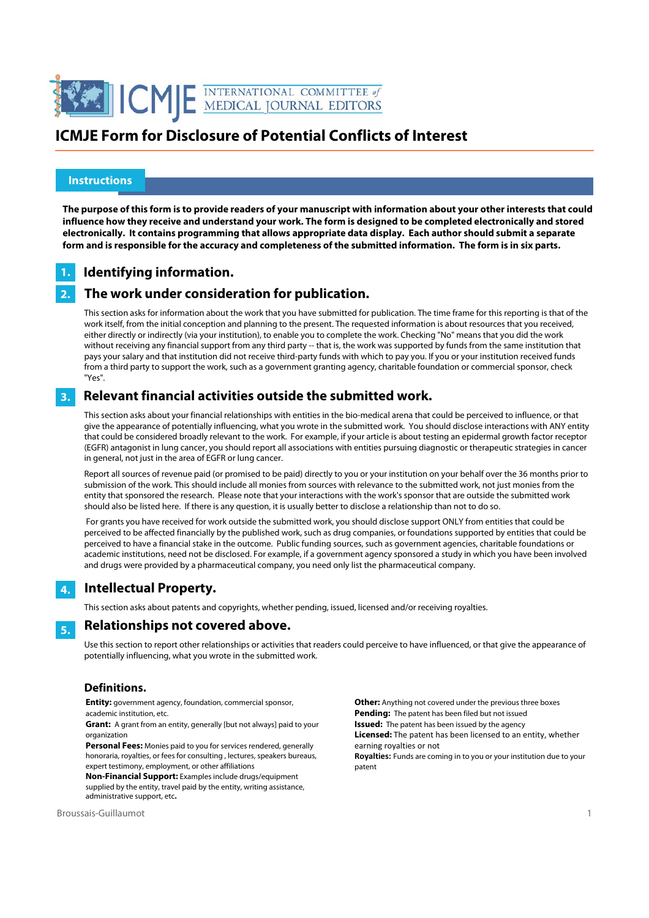

#### **Instructions**

**2.**

**4.**

**5.**

**The purpose of this form is to provide readers of your manuscript with information about your other interests that could influence how they receive and understand your work. The form is designed to be completed electronically and stored electronically. It contains programming that allows appropriate data display. Each author should submit a separate form and is responsible for the accuracy and completeness of the submitted information. The form is in six parts.** 

#### **Identifying information. 1.**

### **The work under consideration for publication.**

This section asks for information about the work that you have submitted for publication. The time frame for this reporting is that of the work itself, from the initial conception and planning to the present. The requested information is about resources that you received, either directly or indirectly (via your institution), to enable you to complete the work. Checking "No" means that you did the work without receiving any financial support from any third party -- that is, the work was supported by funds from the same institution that pays your salary and that institution did not receive third-party funds with which to pay you. If you or your institution received funds from a third party to support the work, such as a government granting agency, charitable foundation or commercial sponsor, check "Yes".

#### **Relevant financial activities outside the submitted work. 3.**

This section asks about your financial relationships with entities in the bio-medical arena that could be perceived to influence, or that give the appearance of potentially influencing, what you wrote in the submitted work. You should disclose interactions with ANY entity that could be considered broadly relevant to the work. For example, if your article is about testing an epidermal growth factor receptor (EGFR) antagonist in lung cancer, you should report all associations with entities pursuing diagnostic or therapeutic strategies in cancer in general, not just in the area of EGFR or lung cancer.

Report all sources of revenue paid (or promised to be paid) directly to you or your institution on your behalf over the 36 months prior to submission of the work. This should include all monies from sources with relevance to the submitted work, not just monies from the entity that sponsored the research. Please note that your interactions with the work's sponsor that are outside the submitted work should also be listed here. If there is any question, it is usually better to disclose a relationship than not to do so.

 For grants you have received for work outside the submitted work, you should disclose support ONLY from entities that could be perceived to be affected financially by the published work, such as drug companies, or foundations supported by entities that could be perceived to have a financial stake in the outcome. Public funding sources, such as government agencies, charitable foundations or academic institutions, need not be disclosed. For example, if a government agency sponsored a study in which you have been involved and drugs were provided by a pharmaceutical company, you need only list the pharmaceutical company.

### **Intellectual Property.**

This section asks about patents and copyrights, whether pending, issued, licensed and/or receiving royalties.

### **Relationships not covered above.**

Use this section to report other relationships or activities that readers could perceive to have influenced, or that give the appearance of potentially influencing, what you wrote in the submitted work.

#### **Definitions.**

**Entity:** government agency, foundation, commercial sponsor, academic institution, etc.

**Grant:** A grant from an entity, generally [but not always] paid to your organization

**Personal Fees:** Monies paid to you for services rendered, generally honoraria, royalties, or fees for consulting , lectures, speakers bureaus, expert testimony, employment, or other affiliations

**Non-Financial Support:** Examples include drugs/equipment supplied by the entity, travel paid by the entity, writing assistance, administrative support, etc**.**

**Other:** Anything not covered under the previous three boxes **Pending:** The patent has been filed but not issued **Issued:** The patent has been issued by the agency **Licensed:** The patent has been licensed to an entity, whether earning royalties or not **Royalties:** Funds are coming in to you or your institution due to your patent

Broussais-Guillaumot 1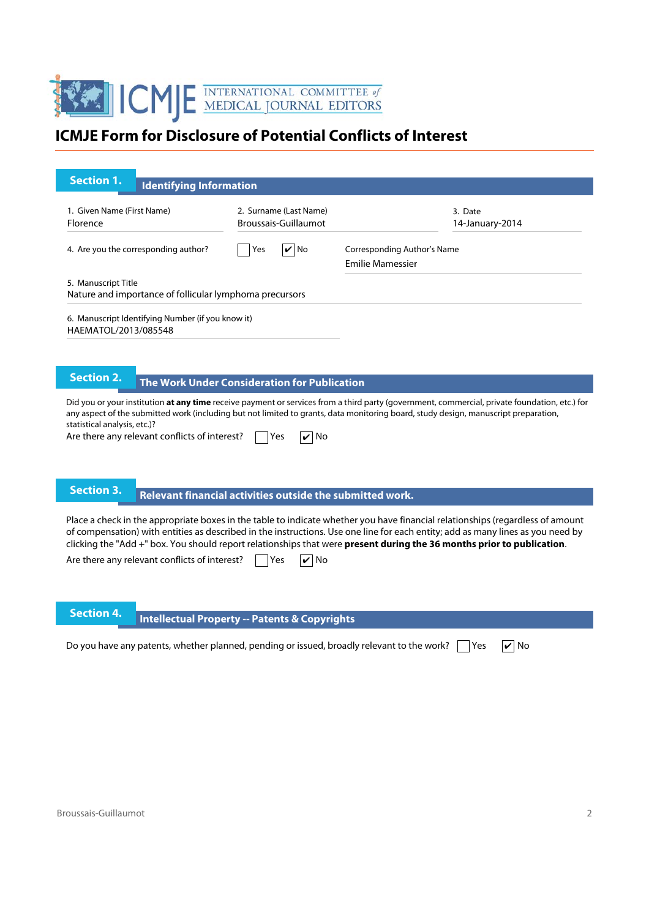

| <b>Section 1.</b>                                                                                                                                                                                                                                                                                                                                                                                                                                                      |                                                          |                                                        |  |  |  |
|------------------------------------------------------------------------------------------------------------------------------------------------------------------------------------------------------------------------------------------------------------------------------------------------------------------------------------------------------------------------------------------------------------------------------------------------------------------------|----------------------------------------------------------|--------------------------------------------------------|--|--|--|
| <b>Identifying Information</b>                                                                                                                                                                                                                                                                                                                                                                                                                                         |                                                          |                                                        |  |  |  |
| 1. Given Name (First Name)<br>Florence                                                                                                                                                                                                                                                                                                                                                                                                                                 | 2. Surname (Last Name)<br>Broussais-Guillaumot           | 3. Date<br>14-January-2014                             |  |  |  |
| 4. Are you the corresponding author?                                                                                                                                                                                                                                                                                                                                                                                                                                   | $ v $ No<br>Yes                                          | Corresponding Author's Name<br><b>Emilie Mamessier</b> |  |  |  |
| 5. Manuscript Title<br>Nature and importance of follicular lymphoma precursors                                                                                                                                                                                                                                                                                                                                                                                         |                                                          |                                                        |  |  |  |
| 6. Manuscript Identifying Number (if you know it)<br>HAEMATOL/2013/085548                                                                                                                                                                                                                                                                                                                                                                                              |                                                          |                                                        |  |  |  |
|                                                                                                                                                                                                                                                                                                                                                                                                                                                                        |                                                          |                                                        |  |  |  |
| <b>Section 2.</b>                                                                                                                                                                                                                                                                                                                                                                                                                                                      | The Work Under Consideration for Publication             |                                                        |  |  |  |
| Did you or your institution at any time receive payment or services from a third party (government, commercial, private foundation, etc.) for<br>any aspect of the submitted work (including but not limited to grants, data monitoring board, study design, manuscript preparation,<br>statistical analysis, etc.)?<br>Are there any relevant conflicts of interest?<br>Yes<br>$\mathbf{v}$ No                                                                        |                                                          |                                                        |  |  |  |
| <b>Section 3.</b>                                                                                                                                                                                                                                                                                                                                                                                                                                                      |                                                          |                                                        |  |  |  |
| Relevant financial activities outside the submitted work.                                                                                                                                                                                                                                                                                                                                                                                                              |                                                          |                                                        |  |  |  |
| Place a check in the appropriate boxes in the table to indicate whether you have financial relationships (regardless of amount<br>of compensation) with entities as described in the instructions. Use one line for each entity; add as many lines as you need by<br>clicking the "Add +" box. You should report relationships that were present during the 36 months prior to publication.<br>Are there any relevant conflicts of interest?<br>$\mathbf{v}$ No<br>Yes |                                                          |                                                        |  |  |  |
|                                                                                                                                                                                                                                                                                                                                                                                                                                                                        |                                                          |                                                        |  |  |  |
| <b>Section 4.</b>                                                                                                                                                                                                                                                                                                                                                                                                                                                      | <b>Intellectual Property -- Patents &amp; Copyrights</b> |                                                        |  |  |  |
| Do you have any patents, whether planned, pending or issued, broadly relevant to the work?<br>r∣No<br>Yes                                                                                                                                                                                                                                                                                                                                                              |                                                          |                                                        |  |  |  |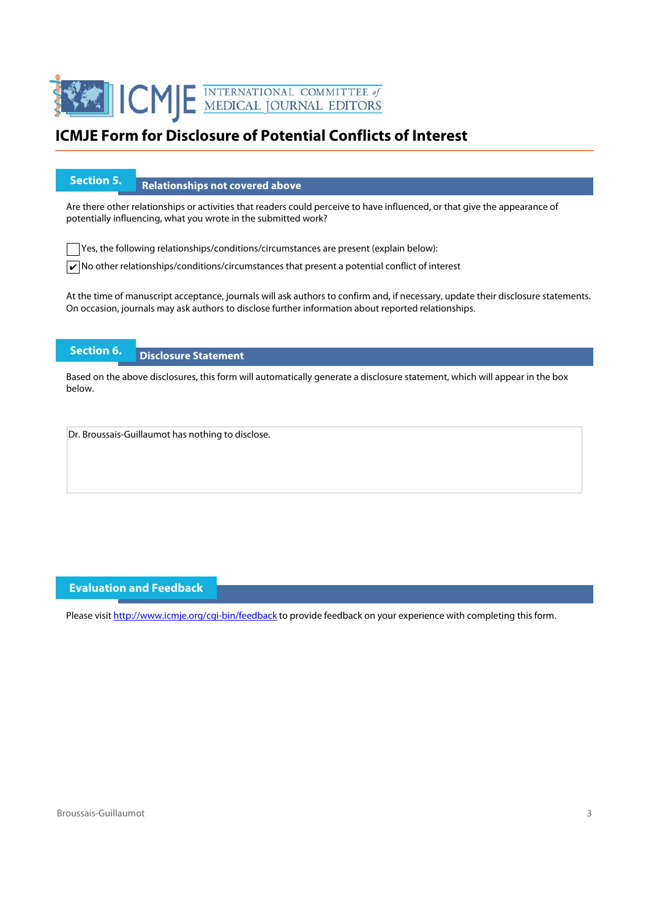

### **Section 5.** Relationships not covered above

Are there other relationships or activities that readers could perceive to have influenced, or that give the appearance of potentially influencing, what you wrote in the submitted work?

 $\Box$  Yes, the following relationships/conditions/circumstances are present (explain below):

 $\boxed{\mathbf{v}}$  No other relationships/conditions/circumstances that present a potential conflict of interest

At the time of manuscript acceptance, journals will ask authors to confirm and, if necessary, update their disclosure statements. On occasion, journals may ask authors to disclose further information about reported relationships.

## **Disclosure Statement Section 6.**

Based on the above disclosures, this form will automatically generate a disclosure statement, which will appear in the box below.

Dr. Broussais-Guillaumot has nothing to disclose.

#### **Evaluation and Feedback**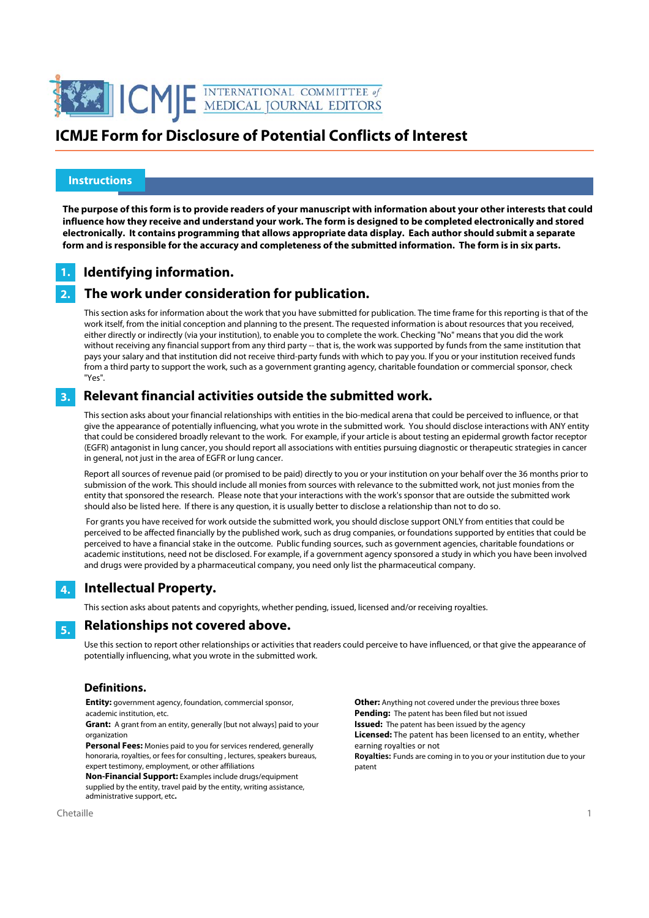

#### **Instructions**

**2.**

**The purpose of this form is to provide readers of your manuscript with information about your other interests that could influence how they receive and understand your work. The form is designed to be completed electronically and stored electronically. It contains programming that allows appropriate data display. Each author should submit a separate form and is responsible for the accuracy and completeness of the submitted information. The form is in six parts.** 

#### **Identifying information. 1.**

### **The work under consideration for publication.**

This section asks for information about the work that you have submitted for publication. The time frame for this reporting is that of the work itself, from the initial conception and planning to the present. The requested information is about resources that you received, either directly or indirectly (via your institution), to enable you to complete the work. Checking "No" means that you did the work without receiving any financial support from any third party -- that is, the work was supported by funds from the same institution that pays your salary and that institution did not receive third-party funds with which to pay you. If you or your institution received funds from a third party to support the work, such as a government granting agency, charitable foundation or commercial sponsor, check "Yes".

#### **Relevant financial activities outside the submitted work. 3.**

This section asks about your financial relationships with entities in the bio-medical arena that could be perceived to influence, or that give the appearance of potentially influencing, what you wrote in the submitted work. You should disclose interactions with ANY entity that could be considered broadly relevant to the work. For example, if your article is about testing an epidermal growth factor receptor (EGFR) antagonist in lung cancer, you should report all associations with entities pursuing diagnostic or therapeutic strategies in cancer in general, not just in the area of EGFR or lung cancer.

Report all sources of revenue paid (or promised to be paid) directly to you or your institution on your behalf over the 36 months prior to submission of the work. This should include all monies from sources with relevance to the submitted work, not just monies from the entity that sponsored the research. Please note that your interactions with the work's sponsor that are outside the submitted work should also be listed here. If there is any question, it is usually better to disclose a relationship than not to do so.

 For grants you have received for work outside the submitted work, you should disclose support ONLY from entities that could be perceived to be affected financially by the published work, such as drug companies, or foundations supported by entities that could be perceived to have a financial stake in the outcome. Public funding sources, such as government agencies, charitable foundations or academic institutions, need not be disclosed. For example, if a government agency sponsored a study in which you have been involved and drugs were provided by a pharmaceutical company, you need only list the pharmaceutical company.

### **Intellectual Property.**

This section asks about patents and copyrights, whether pending, issued, licensed and/or receiving royalties.

#### **Relationships not covered above.**

Use this section to report other relationships or activities that readers could perceive to have influenced, or that give the appearance of potentially influencing, what you wrote in the submitted work.

### **Definitions.**

**Entity:** government agency, foundation, commercial sponsor, academic institution, etc.

**Grant:** A grant from an entity, generally [but not always] paid to your organization

**Personal Fees:** Monies paid to you for services rendered, generally honoraria, royalties, or fees for consulting , lectures, speakers bureaus, expert testimony, employment, or other affiliations

**Non-Financial Support:** Examples include drugs/equipment supplied by the entity, travel paid by the entity, writing assistance, administrative support, etc**.**

**Other:** Anything not covered under the previous three boxes **Pending:** The patent has been filed but not issued **Issued:** The patent has been issued by the agency **Licensed:** The patent has been licensed to an entity, whether earning royalties or not **Royalties:** Funds are coming in to you or your institution due to your patent

Chetaille 1

**4.**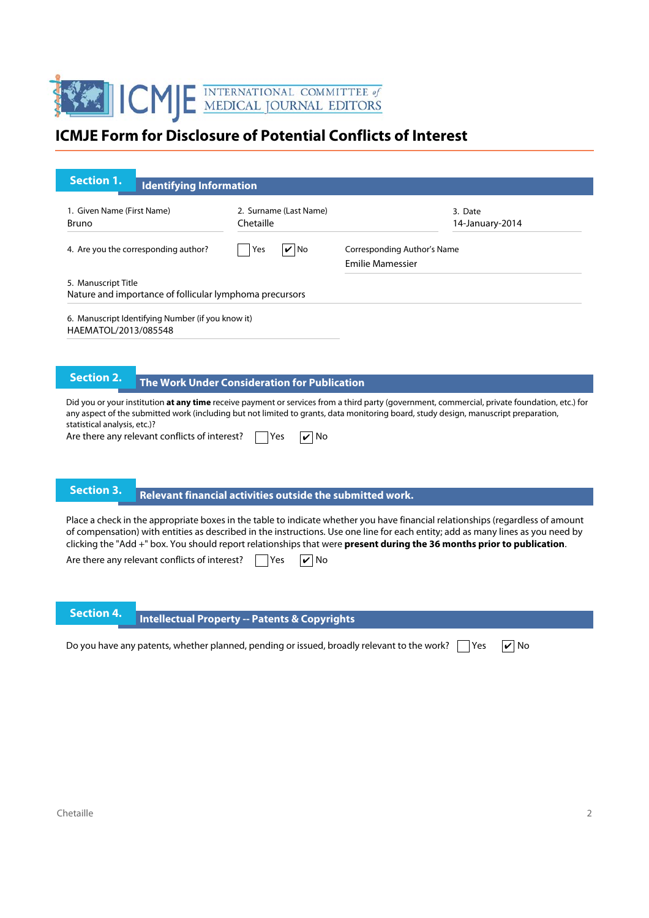

| <b>Section 1.</b><br><b>Identifying Information</b>                                                                                                                                                                                                                                                                                                                                         |                                                          |                                                        |  |  |  |
|---------------------------------------------------------------------------------------------------------------------------------------------------------------------------------------------------------------------------------------------------------------------------------------------------------------------------------------------------------------------------------------------|----------------------------------------------------------|--------------------------------------------------------|--|--|--|
| 1. Given Name (First Name)<br>Bruno                                                                                                                                                                                                                                                                                                                                                         | 2. Surname (Last Name)<br>Chetaille                      | 3. Date<br>14-January-2014                             |  |  |  |
| 4. Are you the corresponding author?                                                                                                                                                                                                                                                                                                                                                        | $ \boldsymbol{v} $ No<br>Yes                             | Corresponding Author's Name<br><b>Emilie Mamessier</b> |  |  |  |
| 5. Manuscript Title<br>Nature and importance of follicular lymphoma precursors                                                                                                                                                                                                                                                                                                              |                                                          |                                                        |  |  |  |
| HAEMATOL/2013/085548                                                                                                                                                                                                                                                                                                                                                                        | 6. Manuscript Identifying Number (if you know it)        |                                                        |  |  |  |
|                                                                                                                                                                                                                                                                                                                                                                                             |                                                          |                                                        |  |  |  |
| <b>Section 2.</b>                                                                                                                                                                                                                                                                                                                                                                           | <b>The Work Under Consideration for Publication</b>      |                                                        |  |  |  |
| Did you or your institution at any time receive payment or services from a third party (government, commercial, private foundation, etc.) for<br>any aspect of the submitted work (including but not limited to grants, data monitoring board, study design, manuscript preparation,<br>statistical analysis, etc.)?                                                                        |                                                          |                                                        |  |  |  |
| Are there any relevant conflicts of interest?<br>Yes<br>$\boldsymbol{\nu}$<br>  No                                                                                                                                                                                                                                                                                                          |                                                          |                                                        |  |  |  |
|                                                                                                                                                                                                                                                                                                                                                                                             |                                                          |                                                        |  |  |  |
| <b>Section 3.</b><br>Relevant financial activities outside the submitted work.                                                                                                                                                                                                                                                                                                              |                                                          |                                                        |  |  |  |
| Place a check in the appropriate boxes in the table to indicate whether you have financial relationships (regardless of amount<br>of compensation) with entities as described in the instructions. Use one line for each entity; add as many lines as you need by<br>clicking the "Add +" box. You should report relationships that were present during the 36 months prior to publication. |                                                          |                                                        |  |  |  |
| Are there any relevant conflicts of interest?<br>$\boldsymbol{\nu}$<br>  No<br>Yes                                                                                                                                                                                                                                                                                                          |                                                          |                                                        |  |  |  |
|                                                                                                                                                                                                                                                                                                                                                                                             |                                                          |                                                        |  |  |  |
| <b>Section 4.</b>                                                                                                                                                                                                                                                                                                                                                                           | <b>Intellectual Property -- Patents &amp; Copyrights</b> |                                                        |  |  |  |
| Do you have any patents, whether planned, pending or issued, broadly relevant to the work?<br>Yes<br>$\mathbf{v}$ No                                                                                                                                                                                                                                                                        |                                                          |                                                        |  |  |  |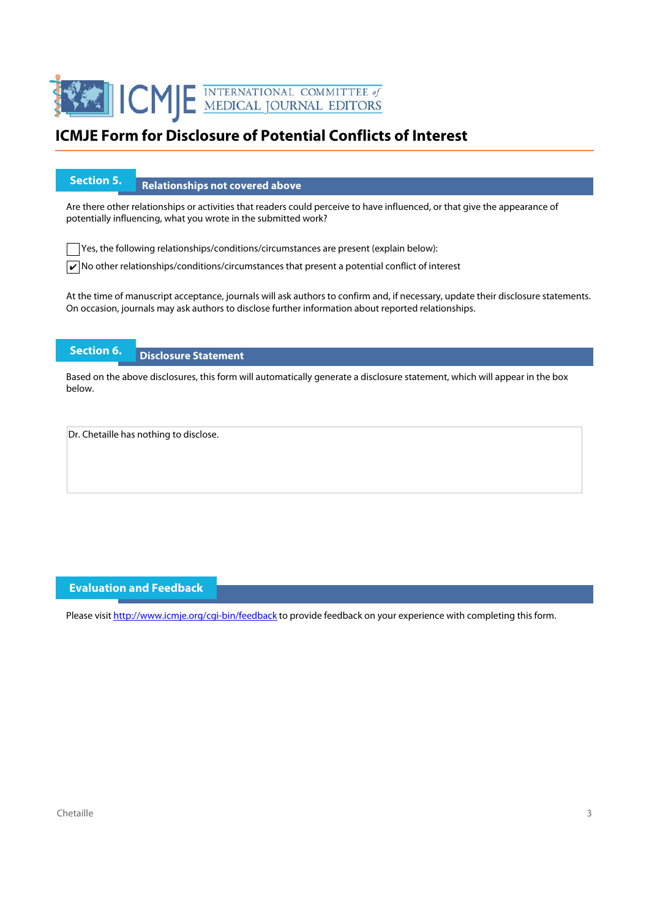

### **Section 5.** Relationships not covered above

Are there other relationships or activities that readers could perceive to have influenced, or that give the appearance of potentially influencing, what you wrote in the submitted work?

 $\Box$  Yes, the following relationships/conditions/circumstances are present (explain below):

 $\boxed{\mathbf{v}}$  No other relationships/conditions/circumstances that present a potential conflict of interest

At the time of manuscript acceptance, journals will ask authors to confirm and, if necessary, update their disclosure statements. On occasion, journals may ask authors to disclose further information about reported relationships.

## **Disclosure Statement Section 6.**

Based on the above disclosures, this form will automatically generate a disclosure statement, which will appear in the box below.

Dr. Chetaille has nothing to disclose.

### **Evaluation and Feedback**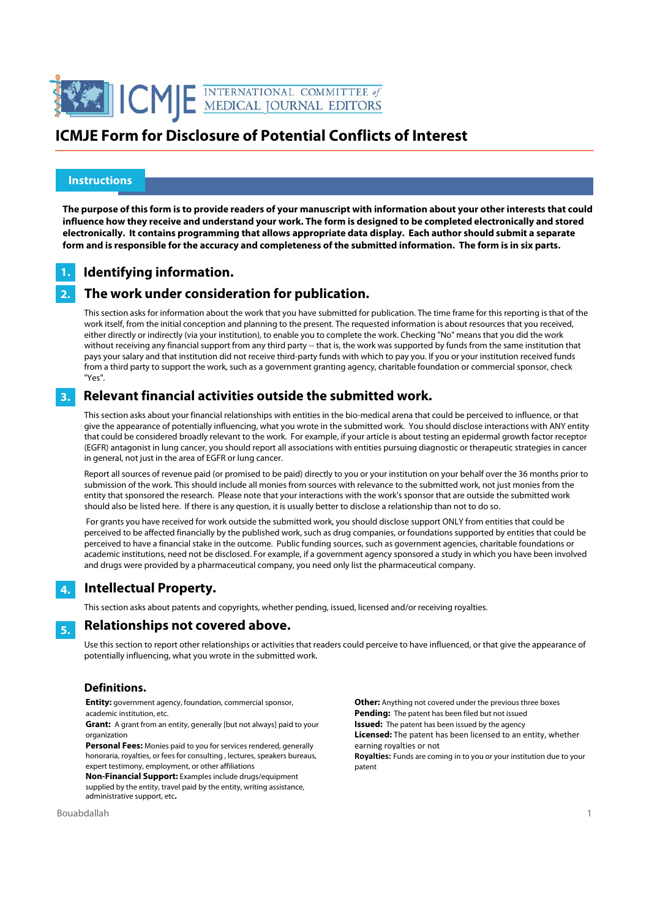

#### **Instructions**

**2.**

**4.**

**5.**

**The purpose of this form is to provide readers of your manuscript with information about your other interests that could influence how they receive and understand your work. The form is designed to be completed electronically and stored electronically. It contains programming that allows appropriate data display. Each author should submit a separate form and is responsible for the accuracy and completeness of the submitted information. The form is in six parts.** 

#### **Identifying information. 1.**

### **The work under consideration for publication.**

This section asks for information about the work that you have submitted for publication. The time frame for this reporting is that of the work itself, from the initial conception and planning to the present. The requested information is about resources that you received, either directly or indirectly (via your institution), to enable you to complete the work. Checking "No" means that you did the work without receiving any financial support from any third party -- that is, the work was supported by funds from the same institution that pays your salary and that institution did not receive third-party funds with which to pay you. If you or your institution received funds from a third party to support the work, such as a government granting agency, charitable foundation or commercial sponsor, check "Yes".

#### **Relevant financial activities outside the submitted work. 3.**

This section asks about your financial relationships with entities in the bio-medical arena that could be perceived to influence, or that give the appearance of potentially influencing, what you wrote in the submitted work. You should disclose interactions with ANY entity that could be considered broadly relevant to the work. For example, if your article is about testing an epidermal growth factor receptor (EGFR) antagonist in lung cancer, you should report all associations with entities pursuing diagnostic or therapeutic strategies in cancer in general, not just in the area of EGFR or lung cancer.

Report all sources of revenue paid (or promised to be paid) directly to you or your institution on your behalf over the 36 months prior to submission of the work. This should include all monies from sources with relevance to the submitted work, not just monies from the entity that sponsored the research. Please note that your interactions with the work's sponsor that are outside the submitted work should also be listed here. If there is any question, it is usually better to disclose a relationship than not to do so.

 For grants you have received for work outside the submitted work, you should disclose support ONLY from entities that could be perceived to be affected financially by the published work, such as drug companies, or foundations supported by entities that could be perceived to have a financial stake in the outcome. Public funding sources, such as government agencies, charitable foundations or academic institutions, need not be disclosed. For example, if a government agency sponsored a study in which you have been involved and drugs were provided by a pharmaceutical company, you need only list the pharmaceutical company.

### **Intellectual Property.**

This section asks about patents and copyrights, whether pending, issued, licensed and/or receiving royalties.

### **Relationships not covered above.**

Use this section to report other relationships or activities that readers could perceive to have influenced, or that give the appearance of potentially influencing, what you wrote in the submitted work.

### **Definitions.**

**Entity:** government agency, foundation, commercial sponsor, academic institution, etc.

**Grant:** A grant from an entity, generally [but not always] paid to your organization

**Personal Fees:** Monies paid to you for services rendered, generally honoraria, royalties, or fees for consulting , lectures, speakers bureaus, expert testimony, employment, or other affiliations

**Non-Financial Support:** Examples include drugs/equipment supplied by the entity, travel paid by the entity, writing assistance, administrative support, etc**.**

**Other:** Anything not covered under the previous three boxes **Pending:** The patent has been filed but not issued **Issued:** The patent has been issued by the agency **Licensed:** The patent has been licensed to an entity, whether earning royalties or not **Royalties:** Funds are coming in to you or your institution due to your patent

Bouabdallah 1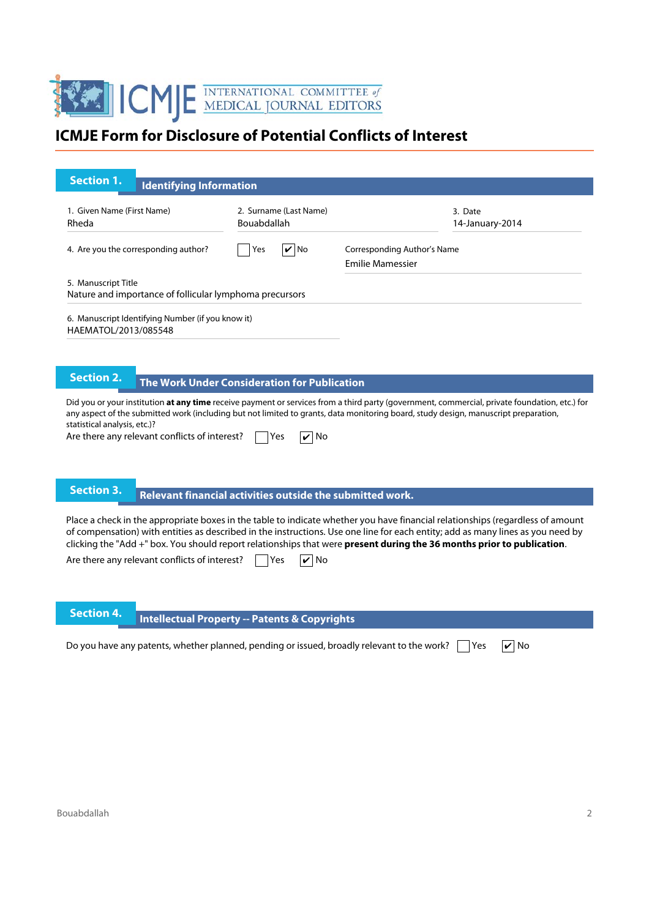

| <b>Section 1.</b>                                                                                                                                                                                                                                                                                                                                                                                                                                                | <b>Identifying Information</b> |                                                           |                                                        |  |  |
|------------------------------------------------------------------------------------------------------------------------------------------------------------------------------------------------------------------------------------------------------------------------------------------------------------------------------------------------------------------------------------------------------------------------------------------------------------------|--------------------------------|-----------------------------------------------------------|--------------------------------------------------------|--|--|
| 1. Given Name (First Name)<br>Rheda                                                                                                                                                                                                                                                                                                                                                                                                                              |                                | 2. Surname (Last Name)<br><b>Bouabdallah</b>              | 3. Date<br>14-January-2014                             |  |  |
| 4. Are you the corresponding author?                                                                                                                                                                                                                                                                                                                                                                                                                             |                                | No<br>Yes<br>V                                            | Corresponding Author's Name<br><b>Emilie Mamessier</b> |  |  |
| 5. Manuscript Title<br>Nature and importance of follicular lymphoma precursors                                                                                                                                                                                                                                                                                                                                                                                   |                                |                                                           |                                                        |  |  |
| 6. Manuscript Identifying Number (if you know it)<br>HAEMATOL/2013/085548                                                                                                                                                                                                                                                                                                                                                                                        |                                |                                                           |                                                        |  |  |
|                                                                                                                                                                                                                                                                                                                                                                                                                                                                  |                                |                                                           |                                                        |  |  |
| <b>Section 2.</b>                                                                                                                                                                                                                                                                                                                                                                                                                                                |                                | The Work Under Consideration for Publication              |                                                        |  |  |
| Did you or your institution at any time receive payment or services from a third party (government, commercial, private foundation, etc.) for<br>any aspect of the submitted work (including but not limited to grants, data monitoring board, study design, manuscript preparation,<br>statistical analysis, etc.)?<br>Are there any relevant conflicts of interest?<br>$\mathbf{v}$ No<br>Yes                                                                  |                                |                                                           |                                                        |  |  |
| <b>Section 3.</b>                                                                                                                                                                                                                                                                                                                                                                                                                                                |                                |                                                           |                                                        |  |  |
|                                                                                                                                                                                                                                                                                                                                                                                                                                                                  |                                | Relevant financial activities outside the submitted work. |                                                        |  |  |
| Place a check in the appropriate boxes in the table to indicate whether you have financial relationships (regardless of amount<br>of compensation) with entities as described in the instructions. Use one line for each entity; add as many lines as you need by<br>clicking the "Add +" box. You should report relationships that were present during the 36 months prior to publication.<br>Are there any relevant conflicts of interest?<br>  No<br>V<br>Yes |                                |                                                           |                                                        |  |  |
|                                                                                                                                                                                                                                                                                                                                                                                                                                                                  |                                |                                                           |                                                        |  |  |
|                                                                                                                                                                                                                                                                                                                                                                                                                                                                  |                                |                                                           |                                                        |  |  |
| <b>Section 4.</b>                                                                                                                                                                                                                                                                                                                                                                                                                                                |                                | <b>Intellectual Property -- Patents &amp; Copyrights</b>  |                                                        |  |  |
| Do you have any patents, whether planned, pending or issued, broadly relevant to the work?<br>Yes<br>$\mathbf{v}$ No                                                                                                                                                                                                                                                                                                                                             |                                |                                                           |                                                        |  |  |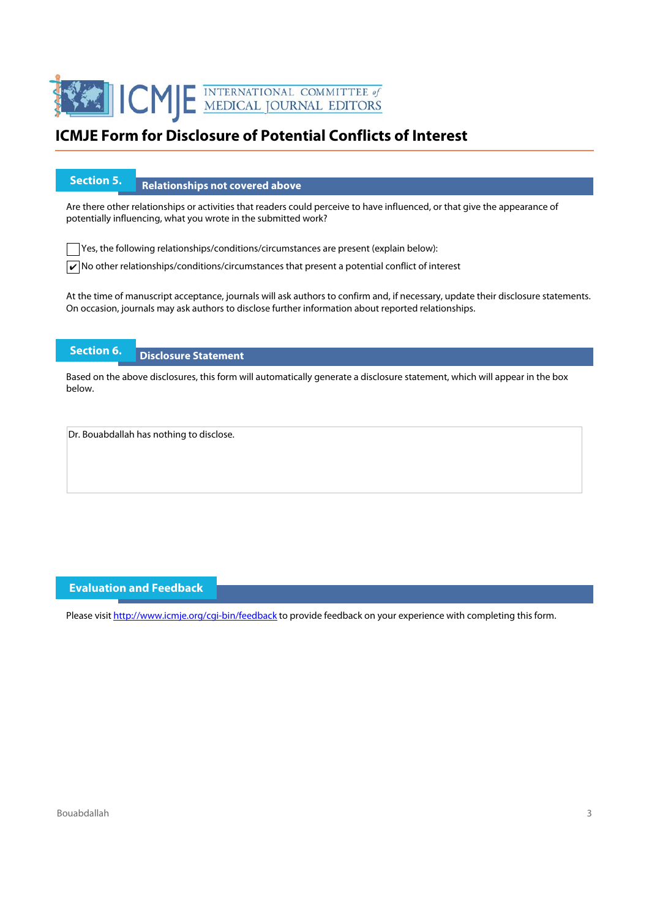

### **Section 5.** Relationships not covered above

Are there other relationships or activities that readers could perceive to have influenced, or that give the appearance of potentially influencing, what you wrote in the submitted work?

 $\Box$  Yes, the following relationships/conditions/circumstances are present (explain below):

 $\boxed{\mathbf{v}}$  No other relationships/conditions/circumstances that present a potential conflict of interest

At the time of manuscript acceptance, journals will ask authors to confirm and, if necessary, update their disclosure statements. On occasion, journals may ask authors to disclose further information about reported relationships.

## **Disclosure Statement Section 6.**

Based on the above disclosures, this form will automatically generate a disclosure statement, which will appear in the box below.

Dr. Bouabdallah has nothing to disclose.

#### **Evaluation and Feedback**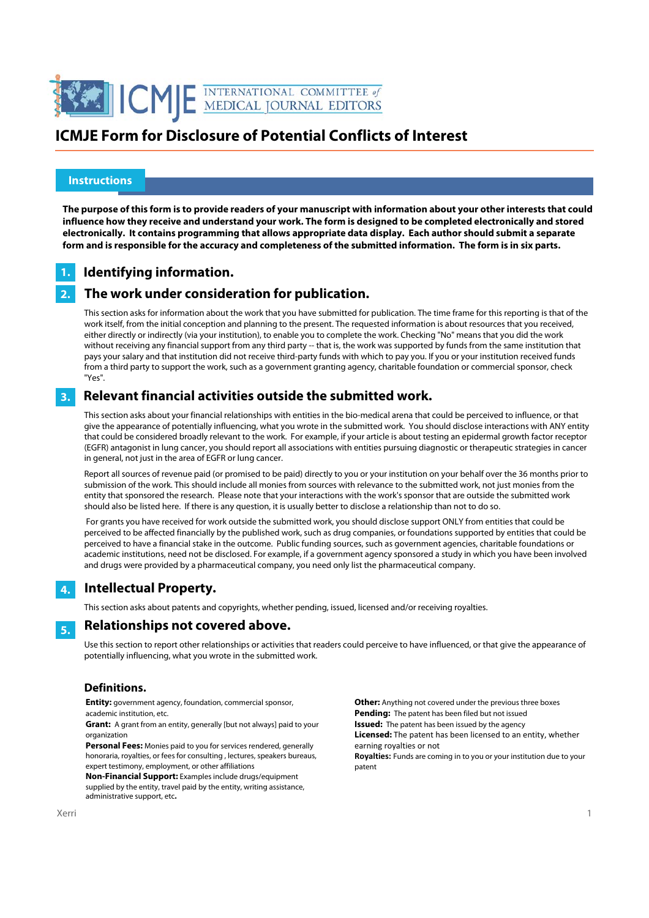

#### **Instructions**

**2.**

**The purpose of this form is to provide readers of your manuscript with information about your other interests that could influence how they receive and understand your work. The form is designed to be completed electronically and stored electronically. It contains programming that allows appropriate data display. Each author should submit a separate form and is responsible for the accuracy and completeness of the submitted information. The form is in six parts.** 

#### **Identifying information. 1.**

### **The work under consideration for publication.**

This section asks for information about the work that you have submitted for publication. The time frame for this reporting is that of the work itself, from the initial conception and planning to the present. The requested information is about resources that you received, either directly or indirectly (via your institution), to enable you to complete the work. Checking "No" means that you did the work without receiving any financial support from any third party -- that is, the work was supported by funds from the same institution that pays your salary and that institution did not receive third-party funds with which to pay you. If you or your institution received funds from a third party to support the work, such as a government granting agency, charitable foundation or commercial sponsor, check "Yes".

#### **Relevant financial activities outside the submitted work. 3.**

This section asks about your financial relationships with entities in the bio-medical arena that could be perceived to influence, or that give the appearance of potentially influencing, what you wrote in the submitted work. You should disclose interactions with ANY entity that could be considered broadly relevant to the work. For example, if your article is about testing an epidermal growth factor receptor (EGFR) antagonist in lung cancer, you should report all associations with entities pursuing diagnostic or therapeutic strategies in cancer in general, not just in the area of EGFR or lung cancer.

Report all sources of revenue paid (or promised to be paid) directly to you or your institution on your behalf over the 36 months prior to submission of the work. This should include all monies from sources with relevance to the submitted work, not just monies from the entity that sponsored the research. Please note that your interactions with the work's sponsor that are outside the submitted work should also be listed here. If there is any question, it is usually better to disclose a relationship than not to do so.

 For grants you have received for work outside the submitted work, you should disclose support ONLY from entities that could be perceived to be affected financially by the published work, such as drug companies, or foundations supported by entities that could be perceived to have a financial stake in the outcome. Public funding sources, such as government agencies, charitable foundations or academic institutions, need not be disclosed. For example, if a government agency sponsored a study in which you have been involved and drugs were provided by a pharmaceutical company, you need only list the pharmaceutical company.

### **Intellectual Property.**

This section asks about patents and copyrights, whether pending, issued, licensed and/or receiving royalties.

### **Relationships not covered above.**

Use this section to report other relationships or activities that readers could perceive to have influenced, or that give the appearance of potentially influencing, what you wrote in the submitted work.

### **Definitions.**

**Entity:** government agency, foundation, commercial sponsor, academic institution, etc.

**Grant:** A grant from an entity, generally [but not always] paid to your organization

**Personal Fees:** Monies paid to you for services rendered, generally honoraria, royalties, or fees for consulting , lectures, speakers bureaus, expert testimony, employment, or other affiliations

**Non-Financial Support:** Examples include drugs/equipment supplied by the entity, travel paid by the entity, writing assistance, administrative support, etc**.**

**Other:** Anything not covered under the previous three boxes **Pending:** The patent has been filed but not issued **Issued:** The patent has been issued by the agency **Licensed:** The patent has been licensed to an entity, whether earning royalties or not **Royalties:** Funds are coming in to you or your institution due to your patent

**4.**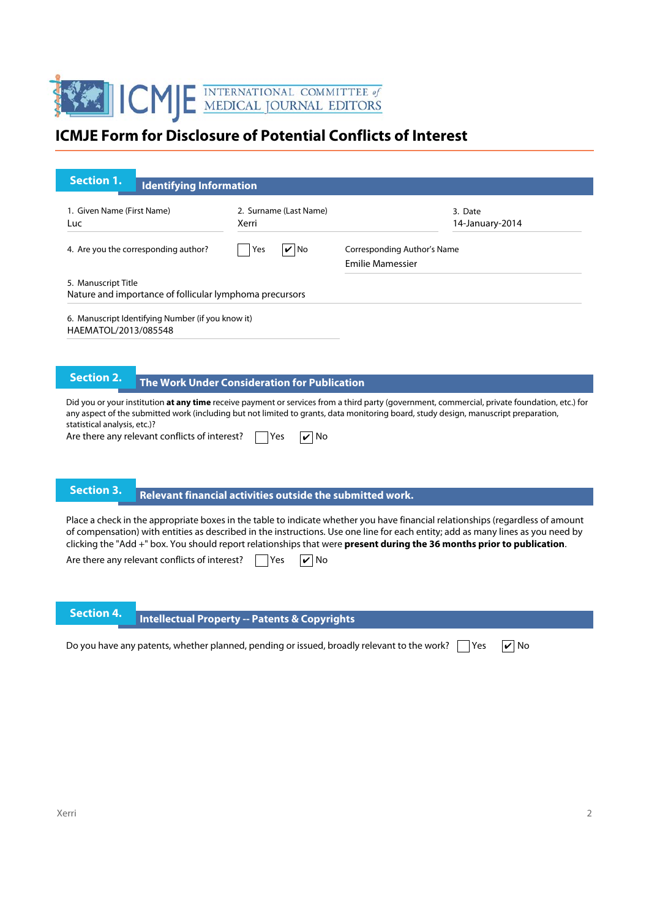

| <b>Section 1.</b><br><b>Identifying Information</b>                                                                                                                                                                                                                                                                                                                                                                                                            |                                                          |                                                        |  |  |  |
|----------------------------------------------------------------------------------------------------------------------------------------------------------------------------------------------------------------------------------------------------------------------------------------------------------------------------------------------------------------------------------------------------------------------------------------------------------------|----------------------------------------------------------|--------------------------------------------------------|--|--|--|
| 1. Given Name (First Name)<br>Luc                                                                                                                                                                                                                                                                                                                                                                                                                              | 2. Surname (Last Name)<br>Xerri                          | 3. Date<br>14-January-2014                             |  |  |  |
| 4. Are you the corresponding author?                                                                                                                                                                                                                                                                                                                                                                                                                           | $\mathbf{v}$ No<br>Yes                                   | Corresponding Author's Name<br><b>Emilie Mamessier</b> |  |  |  |
| 5. Manuscript Title<br>Nature and importance of follicular lymphoma precursors                                                                                                                                                                                                                                                                                                                                                                                 |                                                          |                                                        |  |  |  |
| 6. Manuscript Identifying Number (if you know it)<br>HAEMATOL/2013/085548                                                                                                                                                                                                                                                                                                                                                                                      |                                                          |                                                        |  |  |  |
|                                                                                                                                                                                                                                                                                                                                                                                                                                                                |                                                          |                                                        |  |  |  |
| <b>Section 2.</b>                                                                                                                                                                                                                                                                                                                                                                                                                                              | The Work Under Consideration for Publication             |                                                        |  |  |  |
| Did you or your institution at any time receive payment or services from a third party (government, commercial, private foundation, etc.) for<br>any aspect of the submitted work (including but not limited to grants, data monitoring board, study design, manuscript preparation,<br>statistical analysis, etc.)?<br>Are there any relevant conflicts of interest?<br>Yes<br>$ \boldsymbol{v} $ No                                                          |                                                          |                                                        |  |  |  |
|                                                                                                                                                                                                                                                                                                                                                                                                                                                                |                                                          |                                                        |  |  |  |
| <b>Section 3.</b><br>Relevant financial activities outside the submitted work.                                                                                                                                                                                                                                                                                                                                                                                 |                                                          |                                                        |  |  |  |
| Place a check in the appropriate boxes in the table to indicate whether you have financial relationships (regardless of amount<br>of compensation) with entities as described in the instructions. Use one line for each entity; add as many lines as you need by<br>clicking the "Add +" box. You should report relationships that were present during the 36 months prior to publication.<br>Are there any relevant conflicts of interest?<br>No<br>Yes<br>V |                                                          |                                                        |  |  |  |
|                                                                                                                                                                                                                                                                                                                                                                                                                                                                |                                                          |                                                        |  |  |  |
| <b>Section 4.</b>                                                                                                                                                                                                                                                                                                                                                                                                                                              | <b>Intellectual Property -- Patents &amp; Copyrights</b> |                                                        |  |  |  |
| Do you have any patents, whether planned, pending or issued, broadly relevant to the work?<br>$\mathbf{v}$ No<br>Yes                                                                                                                                                                                                                                                                                                                                           |                                                          |                                                        |  |  |  |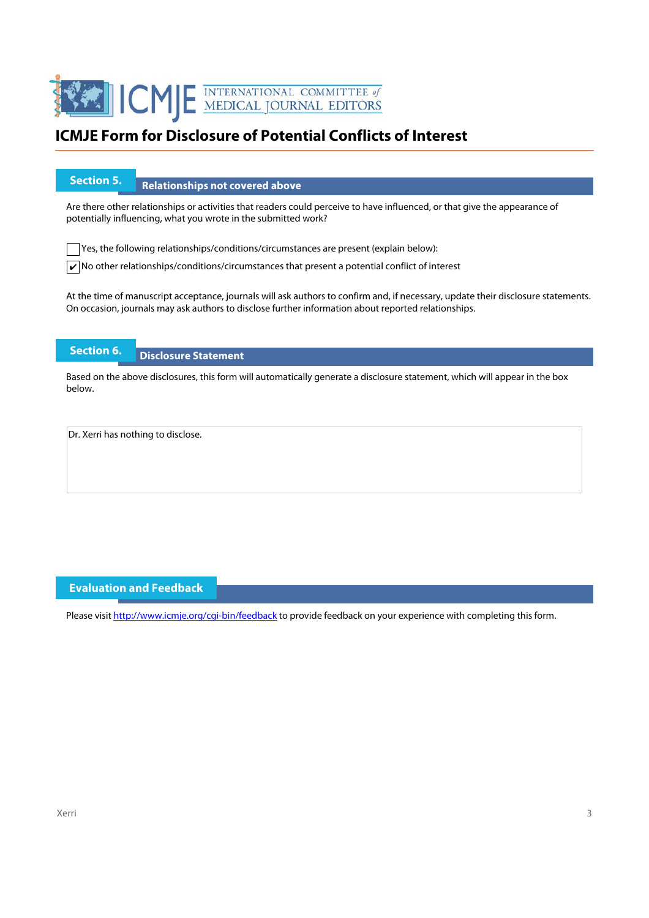

### **Section 5.** Relationships not covered above

Are there other relationships or activities that readers could perceive to have influenced, or that give the appearance of potentially influencing, what you wrote in the submitted work?

 $\Box$  Yes, the following relationships/conditions/circumstances are present (explain below):

 $\boxed{\mathbf{v}}$  No other relationships/conditions/circumstances that present a potential conflict of interest

At the time of manuscript acceptance, journals will ask authors to confirm and, if necessary, update their disclosure statements. On occasion, journals may ask authors to disclose further information about reported relationships.

## **Disclosure Statement Section 6.**

Based on the above disclosures, this form will automatically generate a disclosure statement, which will appear in the box below.

Dr. Xerri has nothing to disclose.

### **Evaluation and Feedback**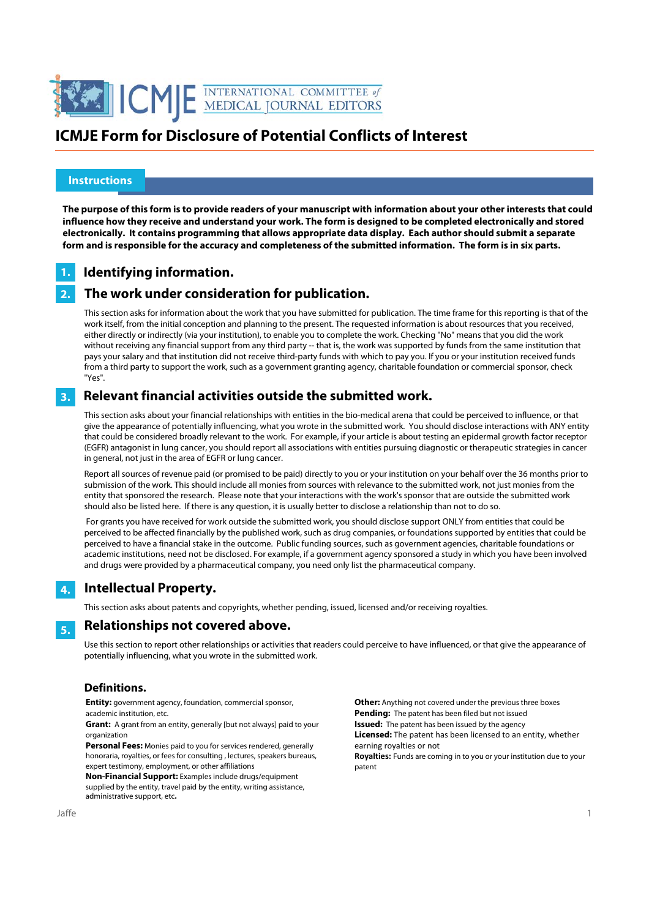

#### **Instructions**

**2.**

**The purpose of this form is to provide readers of your manuscript with information about your other interests that could influence how they receive and understand your work. The form is designed to be completed electronically and stored electronically. It contains programming that allows appropriate data display. Each author should submit a separate form and is responsible for the accuracy and completeness of the submitted information. The form is in six parts.** 

#### **Identifying information. 1.**

### **The work under consideration for publication.**

This section asks for information about the work that you have submitted for publication. The time frame for this reporting is that of the work itself, from the initial conception and planning to the present. The requested information is about resources that you received, either directly or indirectly (via your institution), to enable you to complete the work. Checking "No" means that you did the work without receiving any financial support from any third party -- that is, the work was supported by funds from the same institution that pays your salary and that institution did not receive third-party funds with which to pay you. If you or your institution received funds from a third party to support the work, such as a government granting agency, charitable foundation or commercial sponsor, check "Yes".

#### **Relevant financial activities outside the submitted work. 3.**

This section asks about your financial relationships with entities in the bio-medical arena that could be perceived to influence, or that give the appearance of potentially influencing, what you wrote in the submitted work. You should disclose interactions with ANY entity that could be considered broadly relevant to the work. For example, if your article is about testing an epidermal growth factor receptor (EGFR) antagonist in lung cancer, you should report all associations with entities pursuing diagnostic or therapeutic strategies in cancer in general, not just in the area of EGFR or lung cancer.

Report all sources of revenue paid (or promised to be paid) directly to you or your institution on your behalf over the 36 months prior to submission of the work. This should include all monies from sources with relevance to the submitted work, not just monies from the entity that sponsored the research. Please note that your interactions with the work's sponsor that are outside the submitted work should also be listed here. If there is any question, it is usually better to disclose a relationship than not to do so.

 For grants you have received for work outside the submitted work, you should disclose support ONLY from entities that could be perceived to be affected financially by the published work, such as drug companies, or foundations supported by entities that could be perceived to have a financial stake in the outcome. Public funding sources, such as government agencies, charitable foundations or academic institutions, need not be disclosed. For example, if a government agency sponsored a study in which you have been involved and drugs were provided by a pharmaceutical company, you need only list the pharmaceutical company.

### **Intellectual Property.**

This section asks about patents and copyrights, whether pending, issued, licensed and/or receiving royalties.

### **Relationships not covered above.**

Use this section to report other relationships or activities that readers could perceive to have influenced, or that give the appearance of potentially influencing, what you wrote in the submitted work.

### **Definitions.**

**Entity:** government agency, foundation, commercial sponsor, academic institution, etc.

**Grant:** A grant from an entity, generally [but not always] paid to your organization

**Personal Fees:** Monies paid to you for services rendered, generally honoraria, royalties, or fees for consulting , lectures, speakers bureaus, expert testimony, employment, or other affiliations

**Non-Financial Support:** Examples include drugs/equipment supplied by the entity, travel paid by the entity, writing assistance, administrative support, etc**.**

**Other:** Anything not covered under the previous three boxes **Pending:** The patent has been filed but not issued **Issued:** The patent has been issued by the agency **Licensed:** The patent has been licensed to an entity, whether earning royalties or not **Royalties:** Funds are coming in to you or your institution due to your patent

**4.**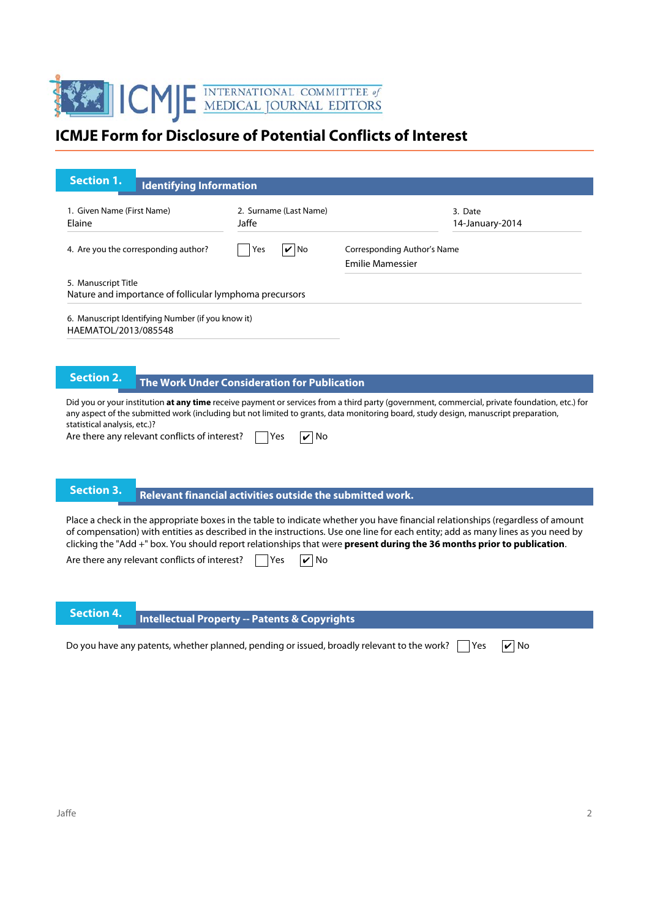

| <b>Section 1.</b><br><b>Identifying Information</b>                                                                                                                                                                                                                                                                                                                                                                                                            |                                                          |                                                        |  |  |  |
|----------------------------------------------------------------------------------------------------------------------------------------------------------------------------------------------------------------------------------------------------------------------------------------------------------------------------------------------------------------------------------------------------------------------------------------------------------------|----------------------------------------------------------|--------------------------------------------------------|--|--|--|
| 1. Given Name (First Name)<br>Elaine                                                                                                                                                                                                                                                                                                                                                                                                                           | 2. Surname (Last Name)<br>Jaffe                          | 3. Date<br>14-January-2014                             |  |  |  |
| 4. Are you the corresponding author?                                                                                                                                                                                                                                                                                                                                                                                                                           | $\nu$  No<br>Yes                                         | Corresponding Author's Name<br><b>Emilie Mamessier</b> |  |  |  |
| 5. Manuscript Title<br>Nature and importance of follicular lymphoma precursors                                                                                                                                                                                                                                                                                                                                                                                 |                                                          |                                                        |  |  |  |
| 6. Manuscript Identifying Number (if you know it)<br>HAEMATOL/2013/085548                                                                                                                                                                                                                                                                                                                                                                                      |                                                          |                                                        |  |  |  |
|                                                                                                                                                                                                                                                                                                                                                                                                                                                                |                                                          |                                                        |  |  |  |
| <b>Section 2.</b>                                                                                                                                                                                                                                                                                                                                                                                                                                              | The Work Under Consideration for Publication             |                                                        |  |  |  |
| Did you or your institution at any time receive payment or services from a third party (government, commercial, private foundation, etc.) for<br>any aspect of the submitted work (including but not limited to grants, data monitoring board, study design, manuscript preparation,<br>statistical analysis, etc.)?<br>Are there any relevant conflicts of interest?<br>Yes<br>  No<br>$\boldsymbol{\nu}$                                                     |                                                          |                                                        |  |  |  |
|                                                                                                                                                                                                                                                                                                                                                                                                                                                                |                                                          |                                                        |  |  |  |
| <b>Section 3.</b><br>Relevant financial activities outside the submitted work.                                                                                                                                                                                                                                                                                                                                                                                 |                                                          |                                                        |  |  |  |
| Place a check in the appropriate boxes in the table to indicate whether you have financial relationships (regardless of amount<br>of compensation) with entities as described in the instructions. Use one line for each entity; add as many lines as you need by<br>clicking the "Add +" box. You should report relationships that were present during the 36 months prior to publication.<br>Are there any relevant conflicts of interest?<br>No<br>Yes<br>V |                                                          |                                                        |  |  |  |
| <b>Section 4.</b>                                                                                                                                                                                                                                                                                                                                                                                                                                              |                                                          |                                                        |  |  |  |
|                                                                                                                                                                                                                                                                                                                                                                                                                                                                | <b>Intellectual Property -- Patents &amp; Copyrights</b> |                                                        |  |  |  |
| Do you have any patents, whether planned, pending or issued, broadly relevant to the work?<br>$\boldsymbol{v}$<br>No<br>Yes                                                                                                                                                                                                                                                                                                                                    |                                                          |                                                        |  |  |  |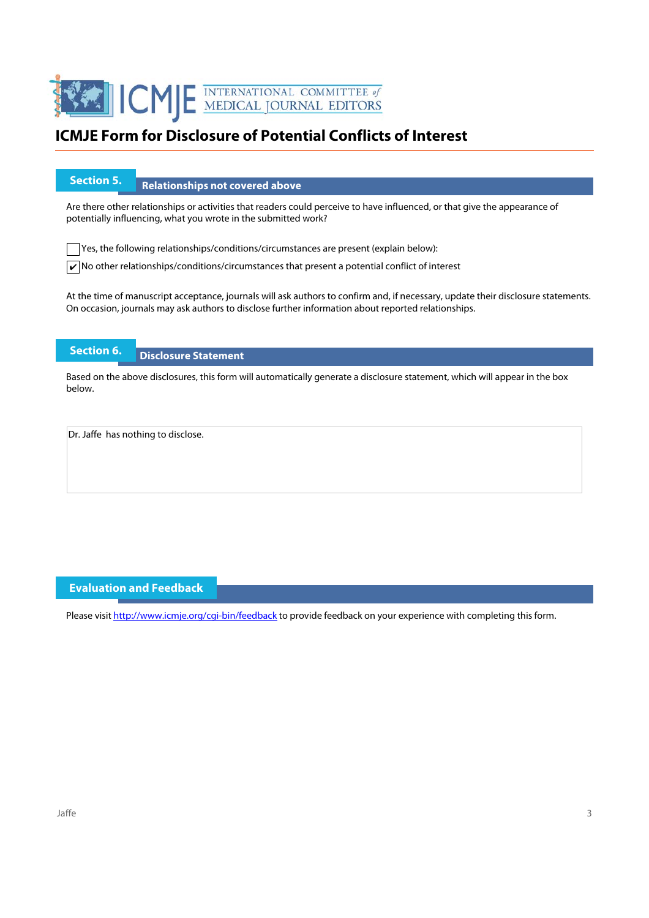

### **Section 5.** Relationships not covered above

Are there other relationships or activities that readers could perceive to have influenced, or that give the appearance of potentially influencing, what you wrote in the submitted work?

 $\Box$  Yes, the following relationships/conditions/circumstances are present (explain below):

 $\boxed{\mathbf{v}}$  No other relationships/conditions/circumstances that present a potential conflict of interest

At the time of manuscript acceptance, journals will ask authors to confirm and, if necessary, update their disclosure statements. On occasion, journals may ask authors to disclose further information about reported relationships.

## **Disclosure Statement Section 6.**

Based on the above disclosures, this form will automatically generate a disclosure statement, which will appear in the box below.

Dr. Jaffe has nothing to disclose.

#### **Evaluation and Feedback**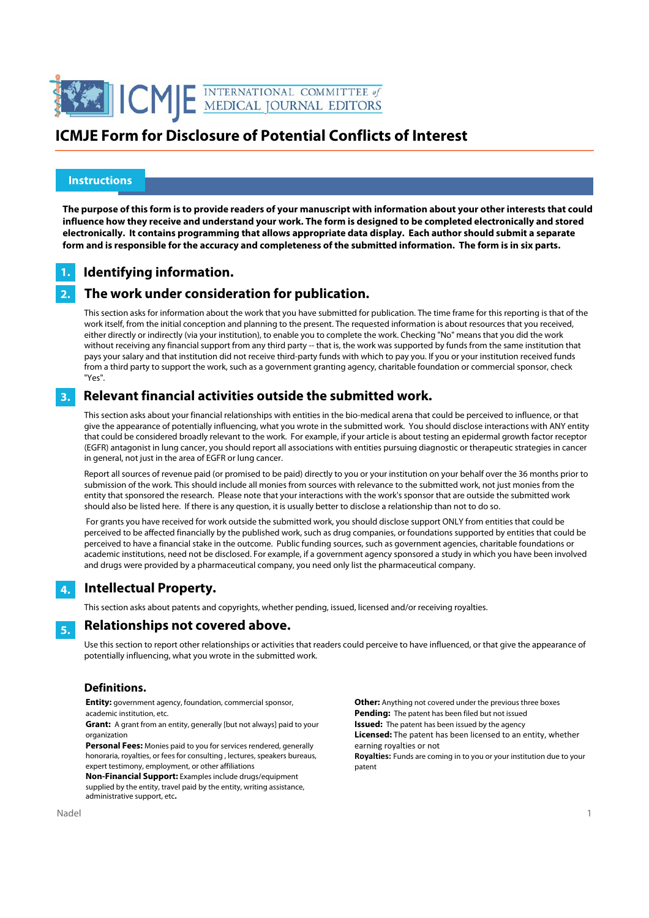

#### **Instructions**

**2.**

**The purpose of this form is to provide readers of your manuscript with information about your other interests that could influence how they receive and understand your work. The form is designed to be completed electronically and stored electronically. It contains programming that allows appropriate data display. Each author should submit a separate form and is responsible for the accuracy and completeness of the submitted information. The form is in six parts.** 

#### **Identifying information. 1.**

### **The work under consideration for publication.**

This section asks for information about the work that you have submitted for publication. The time frame for this reporting is that of the work itself, from the initial conception and planning to the present. The requested information is about resources that you received, either directly or indirectly (via your institution), to enable you to complete the work. Checking "No" means that you did the work without receiving any financial support from any third party -- that is, the work was supported by funds from the same institution that pays your salary and that institution did not receive third-party funds with which to pay you. If you or your institution received funds from a third party to support the work, such as a government granting agency, charitable foundation or commercial sponsor, check "Yes".

#### **Relevant financial activities outside the submitted work. 3.**

This section asks about your financial relationships with entities in the bio-medical arena that could be perceived to influence, or that give the appearance of potentially influencing, what you wrote in the submitted work. You should disclose interactions with ANY entity that could be considered broadly relevant to the work. For example, if your article is about testing an epidermal growth factor receptor (EGFR) antagonist in lung cancer, you should report all associations with entities pursuing diagnostic or therapeutic strategies in cancer in general, not just in the area of EGFR or lung cancer.

Report all sources of revenue paid (or promised to be paid) directly to you or your institution on your behalf over the 36 months prior to submission of the work. This should include all monies from sources with relevance to the submitted work, not just monies from the entity that sponsored the research. Please note that your interactions with the work's sponsor that are outside the submitted work should also be listed here. If there is any question, it is usually better to disclose a relationship than not to do so.

 For grants you have received for work outside the submitted work, you should disclose support ONLY from entities that could be perceived to be affected financially by the published work, such as drug companies, or foundations supported by entities that could be perceived to have a financial stake in the outcome. Public funding sources, such as government agencies, charitable foundations or academic institutions, need not be disclosed. For example, if a government agency sponsored a study in which you have been involved and drugs were provided by a pharmaceutical company, you need only list the pharmaceutical company.

### **Intellectual Property.**

This section asks about patents and copyrights, whether pending, issued, licensed and/or receiving royalties.

### **Relationships not covered above.**

Use this section to report other relationships or activities that readers could perceive to have influenced, or that give the appearance of potentially influencing, what you wrote in the submitted work.

### **Definitions.**

**Entity:** government agency, foundation, commercial sponsor, academic institution, etc.

**Grant:** A grant from an entity, generally [but not always] paid to your organization

**Personal Fees:** Monies paid to you for services rendered, generally honoraria, royalties, or fees for consulting , lectures, speakers bureaus, expert testimony, employment, or other affiliations

**Non-Financial Support:** Examples include drugs/equipment supplied by the entity, travel paid by the entity, writing assistance, administrative support, etc**.**

**Other:** Anything not covered under the previous three boxes **Pending:** The patent has been filed but not issued **Issued:** The patent has been issued by the agency **Licensed:** The patent has been licensed to an entity, whether earning royalties or not **Royalties:** Funds are coming in to you or your institution due to your patent

**4.**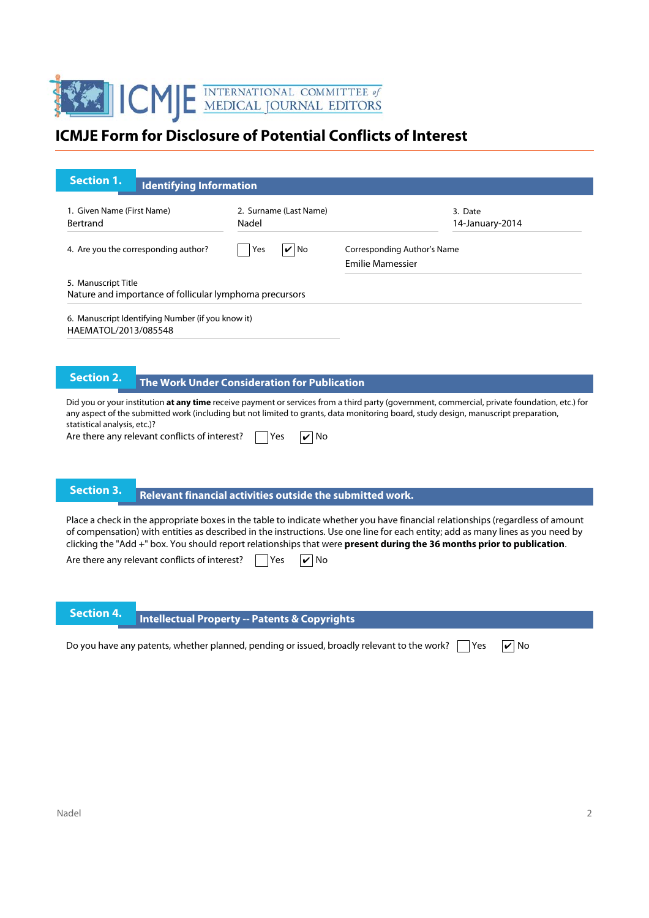

| <b>Section 1.</b><br><b>Identifying Information</b>                                                                                                                                                                                                                                                                                                                                                                                                            |                                                                                |                                                        |  |  |  |
|----------------------------------------------------------------------------------------------------------------------------------------------------------------------------------------------------------------------------------------------------------------------------------------------------------------------------------------------------------------------------------------------------------------------------------------------------------------|--------------------------------------------------------------------------------|--------------------------------------------------------|--|--|--|
| 1. Given Name (First Name)<br>Bertrand                                                                                                                                                                                                                                                                                                                                                                                                                         | 2. Surname (Last Name)<br>Nadel                                                | 3. Date<br>14-January-2014                             |  |  |  |
| 4. Are you the corresponding author?                                                                                                                                                                                                                                                                                                                                                                                                                           | Yes<br>$\nu$  No                                                               | Corresponding Author's Name<br><b>Emilie Mamessier</b> |  |  |  |
| 5. Manuscript Title<br>Nature and importance of follicular lymphoma precursors                                                                                                                                                                                                                                                                                                                                                                                 |                                                                                |                                                        |  |  |  |
| 6. Manuscript Identifying Number (if you know it)<br>HAEMATOL/2013/085548                                                                                                                                                                                                                                                                                                                                                                                      |                                                                                |                                                        |  |  |  |
|                                                                                                                                                                                                                                                                                                                                                                                                                                                                |                                                                                |                                                        |  |  |  |
| <b>Section 2.</b>                                                                                                                                                                                                                                                                                                                                                                                                                                              | The Work Under Consideration for Publication                                   |                                                        |  |  |  |
| Did you or your institution at any time receive payment or services from a third party (government, commercial, private foundation, etc.) for<br>any aspect of the submitted work (including but not limited to grants, data monitoring board, study design, manuscript preparation,<br>statistical analysis, etc.)?<br>Are there any relevant conflicts of interest?<br>Yes<br>  No<br>$\boldsymbol{\nu}$                                                     |                                                                                |                                                        |  |  |  |
|                                                                                                                                                                                                                                                                                                                                                                                                                                                                |                                                                                |                                                        |  |  |  |
|                                                                                                                                                                                                                                                                                                                                                                                                                                                                | <b>Section 3.</b><br>Relevant financial activities outside the submitted work. |                                                        |  |  |  |
| Place a check in the appropriate boxes in the table to indicate whether you have financial relationships (regardless of amount<br>of compensation) with entities as described in the instructions. Use one line for each entity; add as many lines as you need by<br>clicking the "Add +" box. You should report relationships that were present during the 36 months prior to publication.<br>Are there any relevant conflicts of interest?<br>No<br>Yes<br>V |                                                                                |                                                        |  |  |  |
| <b>Section 4.</b>                                                                                                                                                                                                                                                                                                                                                                                                                                              |                                                                                |                                                        |  |  |  |
|                                                                                                                                                                                                                                                                                                                                                                                                                                                                | <b>Intellectual Property -- Patents &amp; Copyrights</b>                       |                                                        |  |  |  |
| Do you have any patents, whether planned, pending or issued, broadly relevant to the work?<br>$\boldsymbol{v}$<br>No<br>Yes                                                                                                                                                                                                                                                                                                                                    |                                                                                |                                                        |  |  |  |